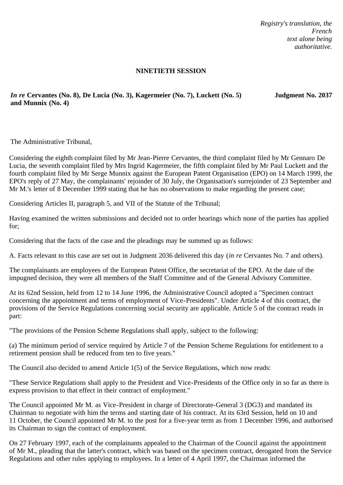*Registry's translation, the French text alone being authoritative.*

## **NINETIETH SESSION**

*In re* **Cervantes (No. 8), De Lucia (No. 3), Kagermeier (No. 7), Luckett (No. 5) and Munnix (No. 4)**

**Judgment No. 2037**

The Administrative Tribunal,

Considering the eighth complaint filed by Mr Jean-Pierre Cervantes, the third complaint filed by Mr Gennaro De Lucia, the seventh complaint filed by Mrs Ingrid Kagermeier, the fifth complaint filed by Mr Paul Luckett and the fourth complaint filed by Mr Serge Munnix against the European Patent Organisation (EPO) on 14 March 1999, the EPO's reply of 27 May, the complainants' rejoinder of 30 July, the Organisation's surrejoinder of 23 September and Mr M.'s letter of 8 December 1999 stating that he has no observations to make regarding the present case;

Considering Articles II, paragraph 5, and VII of the Statute of the Tribunal;

Having examined the written submissions and decided not to order hearings which none of the parties has applied for;

Considering that the facts of the case and the pleadings may be summed up as follows:

A. Facts relevant to this case are set out in Judgment 2036 delivered this day (*in re* Cervantes No. 7 and others).

The complainants are employees of the European Patent Office, the secretariat of the EPO. At the date of the impugned decision, they were all members of the Staff Committee and of the General Advisory Committee.

At its 62nd Session, held from 12 to 14 June 1996, the Administrative Council adopted a "Specimen contract concerning the appointment and terms of employment of Vice-Presidents". Under Article 4 of this contract, the provisions of the Service Regulations concerning social security are applicable. Article 5 of the contract reads in part:

"The provisions of the Pension Scheme Regulations shall apply, subject to the following:

(a) The minimum period of service required by Article 7 of the Pension Scheme Regulations for entitlement to a retirement pension shall be reduced from ten to five years."

The Council also decided to amend Article 1(5) of the Service Regulations, which now reads:

"These Service Regulations shall apply to the President and Vice-Presidents of the Office only in so far as there is express provision to that effect in their contract of employment."

The Council appointed Mr M. as Vice-President in charge of Directorate-General 3 (DG3) and mandated its Chairman to negotiate with him the terms and starting date of his contract. At its 63rd Session, held on 10 and 11 October, the Council appointed Mr M. to the post for a five-year term as from 1 December 1996, and authorised its Chairman to sign the contract of employment.

On 27 February 1997, each of the complainants appealed to the Chairman of the Council against the appointment of Mr M., pleading that the latter's contract, which was based on the specimen contract, derogated from the Service Regulations and other rules applying to employees. In a letter of 4 April 1997, the Chairman informed the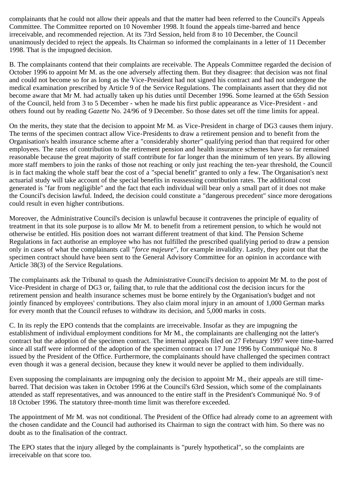complainants that he could not allow their appeals and that the matter had been referred to the Council's Appeals Committee. The Committee reported on 10 November 1998. It found the appeals time-barred and hence irreceivable, and recommended rejection. At its 73rd Session, held from 8 to 10 December, the Council unanimously decided to reject the appeals. Its Chairman so informed the complainants in a letter of 11 December 1998. That is the impugned decision.

B. The complainants contend that their complaints are receivable. The Appeals Committee regarded the decision of October 1996 to appoint Mr M. as the one adversely affecting them. But they disagree: that decision was not final and could not become so for as long as the Vice-President had not signed his contract and had not undergone the medical examination prescribed by Article 9 of the Service Regulations. The complainants assert that they did not become aware that Mr M. had actually taken up his duties until December 1996. Some learned at the 65th Session of the Council, held from 3 to 5 December - when he made his first public appearance as Vice-President - and others found out by reading *Gazette* No. 24/96 of 9 December. So those dates set off the time limits for appeal.

On the merits, they state that the decision to appoint Mr M. as Vice-President in charge of DG3 causes them injury. The terms of the specimen contract allow Vice-Presidents to draw a retirement pension and to benefit from the Organisation's health insurance scheme after a "considerably shorter" qualifying period than that required for other employees. The rates of contribution to the retirement pension and health insurance schemes have so far remained reasonable because the great majority of staff contribute for far longer than the minimum of ten years. By allowing more staff members to join the ranks of those not reaching or only just reaching the ten-year threshold, the Council is in fact making the whole staff bear the cost of a "special benefit" granted to only a few. The Organisation's next actuarial study will take account of the special benefits in reassessing contribution rates. The additional cost generated is "far from negligible" and the fact that each individual will bear only a small part of it does not make the Council's decision lawful. Indeed, the decision could constitute a "dangerous precedent" since more derogations could result in even higher contributions.

Moreover, the Administrative Council's decision is unlawful because it contravenes the principle of equality of treatment in that its sole purpose is to allow Mr M. to benefit from a retirement pension, to which he would not otherwise be entitled. His position does not warrant different treatment of that kind. The Pension Scheme Regulations in fact authorise an employee who has not fulfilled the prescribed qualifying period to draw a pension only in cases of what the complainants call "*force majeure*", for example invalidity. Lastly, they point out that the specimen contract should have been sent to the General Advisory Committee for an opinion in accordance with Article 38(3) of the Service Regulations.

The complainants ask the Tribunal to quash the Administrative Council's decision to appoint Mr M. to the post of Vice-President in charge of DG3 or, failing that, to rule that the additional cost the decision incurs for the retirement pension and health insurance schemes must be borne entirely by the Organisation's budget and not jointly financed by employees' contributions. They also claim moral injury in an amount of 1,000 German marks for every month that the Council refuses to withdraw its decision, and 5,000 marks in costs.

C. In its reply the EPO contends that the complaints are irreceivable. Insofar as they are impugning the establishment of individual employment conditions for Mr M., the complainants are challenging not the latter's contract but the adoption of the specimen contract. The internal appeals filed on 27 February 1997 were time-barred since all staff were informed of the adoption of the specimen contract on 17 June 1996 by Communiqué No. 8 issued by the President of the Office. Furthermore, the complainants should have challenged the specimen contract even though it was a general decision, because they knew it would never be applied to them individually.

Even supposing the complainants are impugning only the decision to appoint Mr M., their appeals are still timebarred. That decision was taken in October 1996 at the Council's 63rd Session, which some of the complainants attended as staff representatives, and was announced to the entire staff in the President's Communiqué No. 9 of 18 October 1996. The statutory three-month time limit was therefore exceeded.

The appointment of Mr M. was not conditional. The President of the Office had already come to an agreement with the chosen candidate and the Council had authorised its Chairman to sign the contract with him. So there was no doubt as to the finalisation of the contract.

The EPO states that the injury alleged by the complainants is "purely hypothetical", so the complaints are irreceivable on that score too.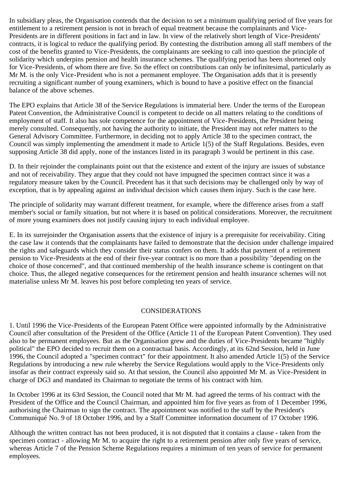In subsidiary pleas, the Organisation contends that the decision to set a minimum qualifying period of five years for entitlement to a retirement pension is not in breach of equal treatment because the complainants and Vice-Presidents are in different positions in fact and in law. In view of the relatively short length of Vice-Presidents' contracts, it is logical to reduce the qualifying period. By contesting the distribution among all staff members of the cost of the benefits granted to Vice-Presidents, the complainants are seeking to call into question the principle of solidarity which underpins pension and health insurance schemes. The qualifying period has been shortened only for Vice-Presidents, of whom there are five. So the effect on contributions can only be infinitesimal, particularly as Mr M. is the only Vice-President who is not a permanent employee. The Organisation adds that it is presently recruiting a significant number of young examiners, which is bound to have a positive effect on the financial balance of the above schemes.

The EPO explains that Article 38 of the Service Regulations is immaterial here. Under the terms of the European Patent Convention, the Administrative Council is competent to decide on all matters relating to the conditions of employment of staff. It also has sole competence for the appointment of Vice-Presidents, the President being merely consulted. Consequently, not having the authority to initiate, the President may not refer matters to the General Advisory Committee. Furthermore, in deciding not to apply Article 38 to the specimen contract, the Council was simply implementing the amendment it made to Article 1(5) of the Staff Regulations. Besides, even supposing Article 38 did apply, none of the instances listed in its paragraph 3 would be pertinent in this case.

D. In their rejoinder the complainants point out that the existence and extent of the injury are issues of substance and not of receivability. They argue that they could not have impugned the specimen contract since it was a regulatory measure taken by the Council. Precedent has it that such decisions may be challenged only by way of exception, that is by appealing against an individual decision which causes them injury. Such is the case here.

The principle of solidarity may warrant different treatment, for example, where the difference arises from a staff member's social or family situation, but not where it is based on political considerations. Moreover, the recruitment of more young examiners does not justify causing injury to each individual employee.

E. In its surrejoinder the Organisation asserts that the existence of injury is a prerequisite for receivability. Citing the case law it contends that the complainants have failed to demonstrate that the decision under challenge impaired the rights and safeguards which they consider their status confers on them. It adds that payment of a retirement pension to Vice-Presidents at the end of their five-year contract is no more than a possibility "depending on the choice of those concerned", and that continued membership of the health insurance scheme is contingent on that choice. Thus, the alleged negative consequences for the retirement pension and health insurance schemes will not materialise unless Mr M. leaves his post before completing ten years of service.

## CONSIDERATIONS

1. Until 1996 the Vice-Presidents of the European Patent Office were appointed informally by the Administrative Council after consultation of the President of the Office (Article 11 of the European Patent Convention). They used also to be permanent employees. But as the Organisation grew and the duties of Vice-Presidents became "highly political" the EPO decided to recruit them on a contractual basis. Accordingly, at its 62nd Session, held in June 1996, the Council adopted a "specimen contract" for their appointment. It also amended Article 1(5) of the Service Regulations by introducing a new rule whereby the Service Regulations would apply to the Vice-Presidents only insofar as their contract expressly said so. At that session, the Council also appointed Mr M. as Vice-President in charge of DG3 and mandated its Chairman to negotiate the terms of his contract with him.

In October 1996 at its 63rd Session, the Council noted that Mr M. had agreed the terms of his contract with the President of the Office and the Council Chairman, and appointed him for five years as from of 1 December 1996, authorising the Chairman to sign the contract. The appointment was notified to the staff by the President's Communiqué No. 9 of 18 October 1996, and by a Staff Committee information document of 17 October 1996.

Although the written contract has not been produced, it is not disputed that it contains a clause - taken from the specimen contract - allowing Mr M. to acquire the right to a retirement pension after only five years of service, whereas Article 7 of the Pension Scheme Regulations requires a minimum of ten years of service for permanent employees.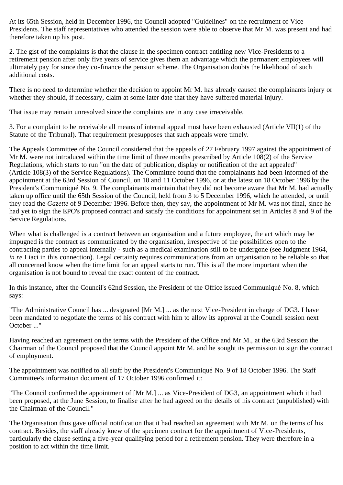At its 65th Session, held in December 1996, the Council adopted "Guidelines" on the recruitment of Vice-Presidents. The staff representatives who attended the session were able to observe that Mr M. was present and had therefore taken up his post.

2. The gist of the complaints is that the clause in the specimen contract entitling new Vice-Presidents to a retirement pension after only five years of service gives them an advantage which the permanent employees will ultimately pay for since they co-finance the pension scheme. The Organisation doubts the likelihood of such additional costs.

There is no need to determine whether the decision to appoint Mr M. has already caused the complainants injury or whether they should, if necessary, claim at some later date that they have suffered material injury.

That issue may remain unresolved since the complaints are in any case irreceivable.

3. For a complaint to be receivable all means of internal appeal must have been exhausted (Article VII(1) of the Statute of the Tribunal). That requirement presupposes that such appeals were timely.

The Appeals Committee of the Council considered that the appeals of 27 February 1997 against the appointment of Mr M. were not introduced within the time limit of three months prescribed by Article 108(2) of the Service Regulations, which starts to run "on the date of publication, display or notification of the act appealed" (Article 108(3) of the Service Regulations). The Committee found that the complainants had been informed of the appointment at the 63rd Session of Council, on 10 and 11 October 1996, or at the latest on 18 October 1996 by the President's Communiqué No. 9. The complainants maintain that they did not become aware that Mr M. had actually taken up office until the 65th Session of the Council, held from 3 to 5 December 1996, which he attended, or until they read the *Gazette* of 9 December 1996. Before then, they say, the appointment of Mr M. was not final, since he had yet to sign the EPO's proposed contract and satisfy the conditions for appointment set in Articles 8 and 9 of the Service Regulations.

When what is challenged is a contract between an organisation and a future employee, the act which may be impugned is the contract as communicated by the organisation, irrespective of the possibilities open to the contracting parties to appeal internally - such as a medical examination still to be undergone (see Judgment 1964, *in re* Liaci in this connection). Legal certainty requires communications from an organisation to be reliable so that all concerned know when the time limit for an appeal starts to run. This is all the more important when the organisation is not bound to reveal the exact content of the contract.

In this instance, after the Council's 62nd Session, the President of the Office issued Communiqué No. 8, which says:

"The Administrative Council has ... designated [Mr M.] ... as the next Vice-President in charge of DG3. I have been mandated to negotiate the terms of his contract with him to allow its approval at the Council session next October ..."

Having reached an agreement on the terms with the President of the Office and Mr M., at the 63rd Session the Chairman of the Council proposed that the Council appoint Mr M. and he sought its permission to sign the contract of employment.

The appointment was notified to all staff by the President's Communiqué No. 9 of 18 October 1996. The Staff Committee's information document of 17 October 1996 confirmed it:

"The Council confirmed the appointment of [Mr M.] ... as Vice-President of DG3, an appointment which it had been proposed, at the June Session, to finalise after he had agreed on the details of his contract (unpublished) with the Chairman of the Council."

The Organisation thus gave official notification that it had reached an agreement with Mr M. on the terms of his contract. Besides, the staff already knew of the specimen contract for the appointment of Vice-Presidents, particularly the clause setting a five-year qualifying period for a retirement pension. They were therefore in a position to act within the time limit.